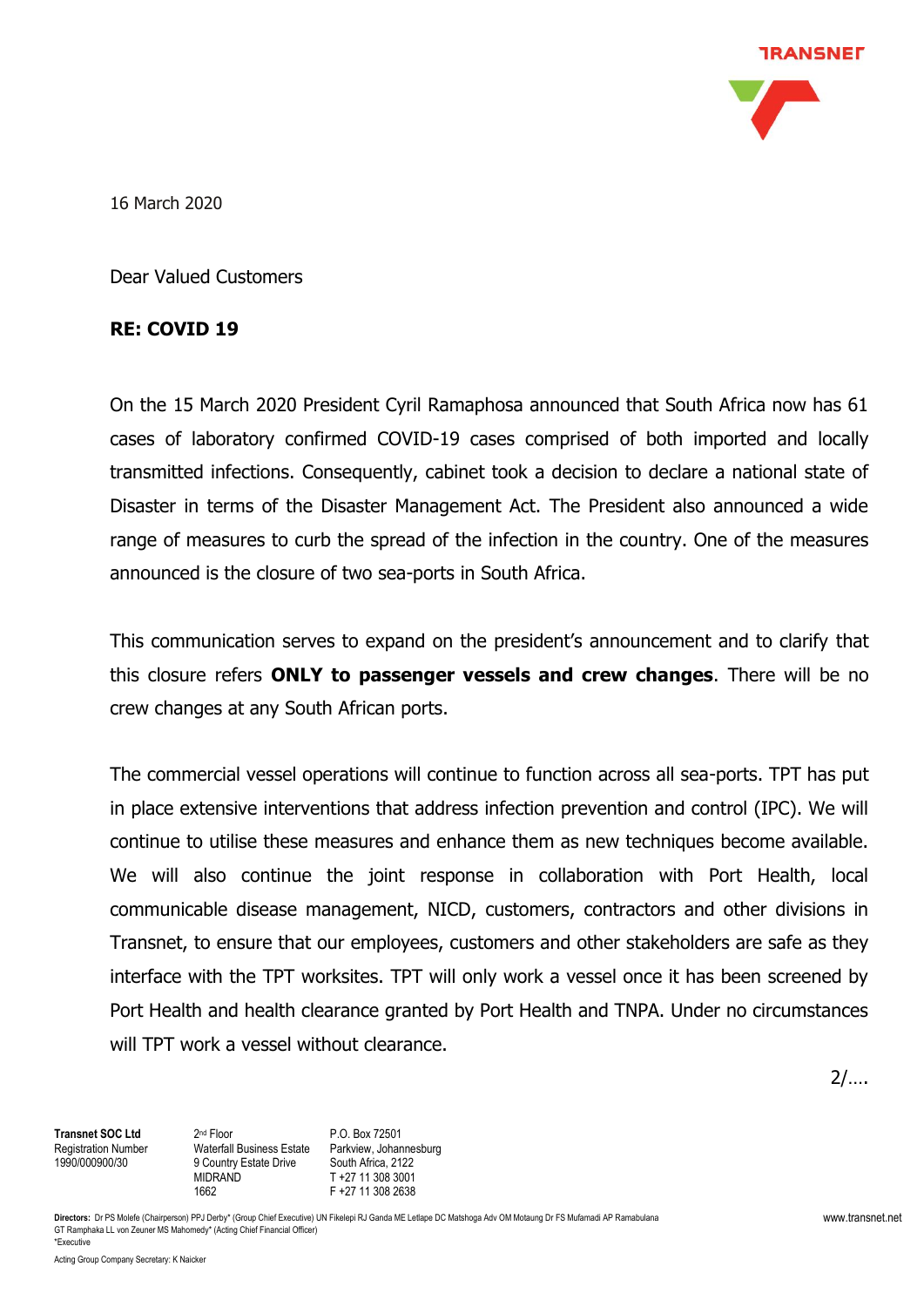

16 March 2020

Dear Valued Customers

## **RE: COVID 19**

On the 15 March 2020 President Cyril Ramaphosa announced that South Africa now has 61 cases of laboratory confirmed COVID-19 cases comprised of both imported and locally transmitted infections. Consequently, cabinet took a decision to declare a national state of Disaster in terms of the Disaster Management Act. The President also announced a wide range of measures to curb the spread of the infection in the country. One of the measures announced is the closure of two sea-ports in South Africa.

This communication serves to expand on the president's announcement and to clarify that this closure refers **ONLY to passenger vessels and crew changes**. There will be no crew changes at any South African ports.

The commercial vessel operations will continue to function across all sea-ports. TPT has put in place extensive interventions that address infection prevention and control (IPC). We will continue to utilise these measures and enhance them as new techniques become available. We will also continue the joint response in collaboration with Port Health, local communicable disease management, NICD, customers, contractors and other divisions in Transnet, to ensure that our employees, customers and other stakeholders are safe as they interface with the TPT worksites. TPT will only work a vessel once it has been screened by Port Health and health clearance granted by Port Health and TNPA. Under no circumstances will TPT work a vessel without clearance.

2/….

**Transnet SOC Ltd** Registration Number 1990/000900/30

2 nd Floor Waterfall Business Estate 9 Country Estate Drive MIDRAND 1662

P.O. Box 72501 Parkview, Johannesburg South Africa, 2122 T +27 11 308 3001 F +27 11 308 2638

**Directors:** Dr PS Molefe (Chairperson) PPJ Derby\* (Group Chief Executive) UN Fikelepi RJ Ganda ME Letlape DC Matshoga Adv OM Motaung Dr FS Mufamadi AP Ramabulana GT Ramphaka LL von Zeuner MS Mahomedy\* (Acting Chief Financial Officer) \*Executive